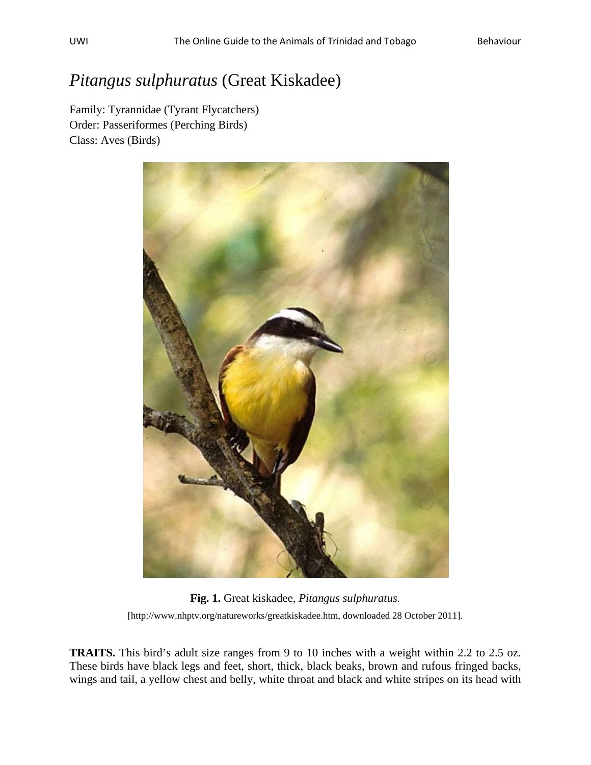## *Pitangus sulphuratus* (Great Kiskadee)

Family: Tyrannidae (Tyrant Flycatchers) Order: Passeriformes (Perching Birds) Class: Aves (Birds)



**Fig. 1.** Great kiskadee, *Pitangus sulphuratus.* [http://www.nhptv.org/natureworks/greatkiskadee.htm, downloaded 28 October 2011].

**TRAITS.** This bird's adult size ranges from 9 to 10 inches with a weight within 2.2 to 2.5 oz. These birds have black legs and feet, short, thick, black beaks, brown and rufous fringed backs, wings and tail, a yellow chest and belly, white throat and black and white stripes on its head with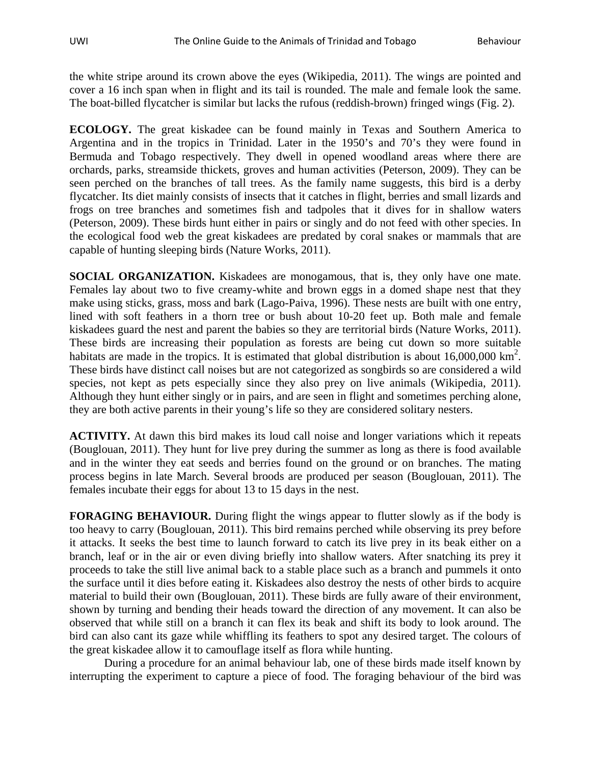the white stripe around its crown above the eyes (Wikipedia, 2011). The wings are pointed and cover a 16 inch span when in flight and its tail is rounded. The male and female look the same. The boat-billed flycatcher is similar but lacks the rufous (reddish-brown) fringed wings (Fig. 2).

**ECOLOGY.** The great kiskadee can be found mainly in Texas and Southern America to Argentina and in the tropics in Trinidad. Later in the 1950's and 70's they were found in Bermuda and Tobago respectively. They dwell in opened woodland areas where there are orchards, parks, streamside thickets, groves and human activities (Peterson, 2009). They can be seen perched on the branches of tall trees. As the family name suggests, this bird is a derby flycatcher. Its diet mainly consists of insects that it catches in flight, berries and small lizards and frogs on tree branches and sometimes fish and tadpoles that it dives for in shallow waters (Peterson, 2009). These birds hunt either in pairs or singly and do not feed with other species. In the ecological food web the great kiskadees are predated by coral snakes or mammals that are capable of hunting sleeping birds (Nature Works, 2011).

**SOCIAL ORGANIZATION.** Kiskadees are monogamous, that is, they only have one mate. Females lay about two to five creamy-white and brown eggs in a domed shape nest that they make using sticks, grass, moss and bark (Lago-Paiva, 1996). These nests are built with one entry, lined with soft feathers in a thorn tree or bush about 10-20 feet up. Both male and female kiskadees guard the nest and parent the babies so they are territorial birds (Nature Works, 2011). These birds are increasing their population as forests are being cut down so more suitable habitats are made in the tropics. It is estimated that global distribution is about  $16,000,000 \text{ km}^2$ . These birds have distinct call noises but are not categorized as songbirds so are considered a wild species, not kept as pets especially since they also prey on live animals (Wikipedia, 2011). Although they hunt either singly or in pairs, and are seen in flight and sometimes perching alone, they are both active parents in their young's life so they are considered solitary nesters.

**ACTIVITY.** At dawn this bird makes its loud call noise and longer variations which it repeats (Bouglouan, 2011). They hunt for live prey during the summer as long as there is food available and in the winter they eat seeds and berries found on the ground or on branches. The mating process begins in late March. Several broods are produced per season (Bouglouan, 2011). The females incubate their eggs for about 13 to 15 days in the nest.

**FORAGING BEHAVIOUR.** During flight the wings appear to flutter slowly as if the body is too heavy to carry (Bouglouan, 2011). This bird remains perched while observing its prey before it attacks. It seeks the best time to launch forward to catch its live prey in its beak either on a branch, leaf or in the air or even diving briefly into shallow waters. After snatching its prey it proceeds to take the still live animal back to a stable place such as a branch and pummels it onto the surface until it dies before eating it. Kiskadees also destroy the nests of other birds to acquire material to build their own (Bouglouan, 2011). These birds are fully aware of their environment, shown by turning and bending their heads toward the direction of any movement. It can also be observed that while still on a branch it can flex its beak and shift its body to look around. The bird can also cant its gaze while whiffling its feathers to spot any desired target. The colours of the great kiskadee allow it to camouflage itself as flora while hunting.

During a procedure for an animal behaviour lab, one of these birds made itself known by interrupting the experiment to capture a piece of food. The foraging behaviour of the bird was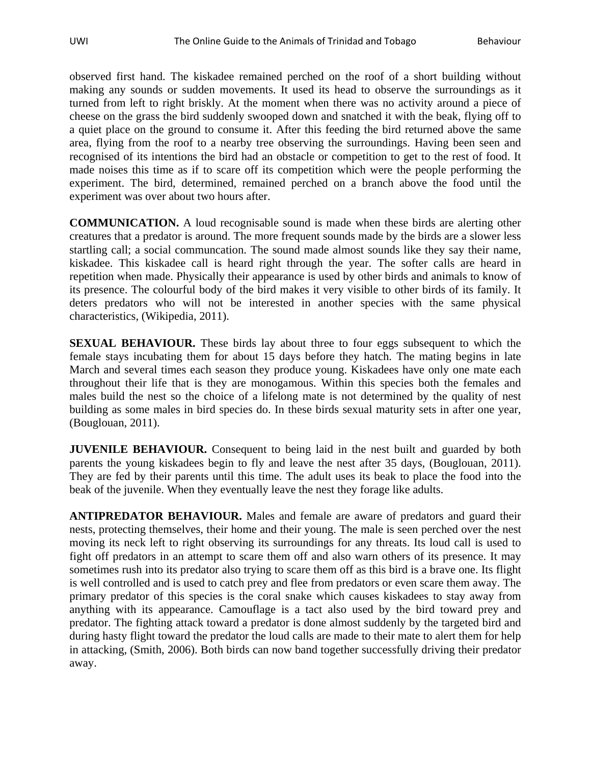observed first hand. The kiskadee remained perched on the roof of a short building without making any sounds or sudden movements. It used its head to observe the surroundings as it turned from left to right briskly. At the moment when there was no activity around a piece of cheese on the grass the bird suddenly swooped down and snatched it with the beak, flying off to a quiet place on the ground to consume it. After this feeding the bird returned above the same area, flying from the roof to a nearby tree observing the surroundings. Having been seen and recognised of its intentions the bird had an obstacle or competition to get to the rest of food. It made noises this time as if to scare off its competition which were the people performing the experiment. The bird, determined, remained perched on a branch above the food until the experiment was over about two hours after.

**COMMUNICATION.** A loud recognisable sound is made when these birds are alerting other creatures that a predator is around. The more frequent sounds made by the birds are a slower less startling call; a social communcation. The sound made almost sounds like they say their name, kiskadee. This kiskadee call is heard right through the year. The softer calls are heard in repetition when made. Physically their appearance is used by other birds and animals to know of its presence. The colourful body of the bird makes it very visible to other birds of its family. It deters predators who will not be interested in another species with the same physical characteristics, (Wikipedia, 2011).

**SEXUAL BEHAVIOUR.** These birds lay about three to four eggs subsequent to which the female stays incubating them for about 15 days before they hatch. The mating begins in late March and several times each season they produce young. Kiskadees have only one mate each throughout their life that is they are monogamous. Within this species both the females and males build the nest so the choice of a lifelong mate is not determined by the quality of nest building as some males in bird species do. In these birds sexual maturity sets in after one year, (Bouglouan, 2011).

**JUVENILE BEHAVIOUR.** Consequent to being laid in the nest built and guarded by both parents the young kiskadees begin to fly and leave the nest after 35 days, (Bouglouan, 2011). They are fed by their parents until this time. The adult uses its beak to place the food into the beak of the juvenile. When they eventually leave the nest they forage like adults.

**ANTIPREDATOR BEHAVIOUR.** Males and female are aware of predators and guard their nests, protecting themselves, their home and their young. The male is seen perched over the nest moving its neck left to right observing its surroundings for any threats. Its loud call is used to fight off predators in an attempt to scare them off and also warn others of its presence. It may sometimes rush into its predator also trying to scare them off as this bird is a brave one. Its flight is well controlled and is used to catch prey and flee from predators or even scare them away. The primary predator of this species is the coral snake which causes kiskadees to stay away from anything with its appearance. Camouflage is a tact also used by the bird toward prey and predator. The fighting attack toward a predator is done almost suddenly by the targeted bird and during hasty flight toward the predator the loud calls are made to their mate to alert them for help in attacking, (Smith, 2006). Both birds can now band together successfully driving their predator away.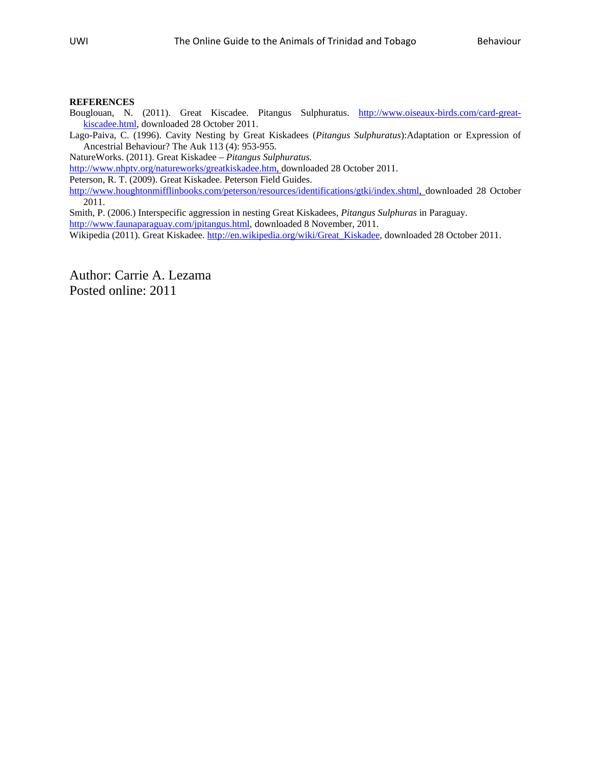## **REFERENCES**

Bouglouan, N. (2011). Great Kiscadee. Pitangus Sulphuratus. [http://www.oiseaux-birds.com/card-great](http://www.oiseaux-birds.com/card-great-kiscadee.html)[kiscadee.html,](http://www.oiseaux-birds.com/card-great-kiscadee.html) downloaded 28 October 2011.

Lago-Paiva, C. (1996). Cavity Nesting by Great Kiskadees (*Pitangus Sulphuratus*):Adaptation or Expression of Ancestrial Behaviour? The Auk 113 (4): 953-955.

NatureWorks. (2011). Great Kiskadee – *Pitangus Sulphuratus.* 

[http://www.nhptv.org/natureworks/greatkiskadee.htm,](http://www.nhptv.org/natureworks/greatkiskadee.htm) downloaded 28 October 2011.

Peterson, R. T. (2009). Great Kiskadee. Peterson Field Guides.

<http://www.houghtonmifflinbooks.com/peterson/resources/identifications/gtki/index.shtml>, downloaded 28 October 2011.

Smith, P. (2006.) Interspecific aggression in nesting Great Kiskadees, *Pitangus Sulphuras* in Paraguay. [http://www.faunaparaguay.com/jpitangus.html,](http://www.faunaparaguay.com/jpitangus.html) downloaded 8 November, 2011.

Wikipedia (2011). Great Kiskadee. [http://en.wikipedia.org/wiki/Great\\_Kiskadee,](http://en.wikipedia.org/wiki/Great_Kiskadee) downloaded 28 October 2011.

Author: Carrie A. Lezama Posted online: 2011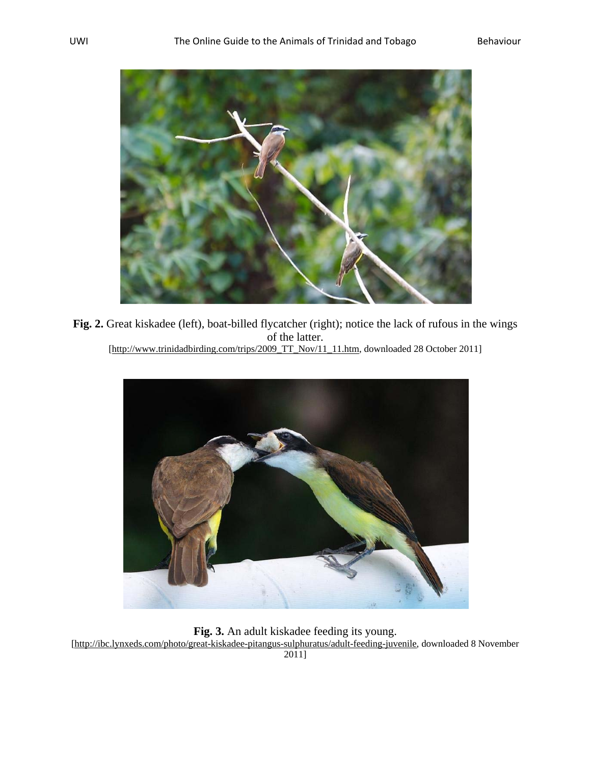

**Fig. 2.** Great kiskadee (left), boat-billed flycatcher (right); notice the lack of rufous in the wings of the latter. [http://www.trinidadbirding.com/trips/2009\_TT\_Nov/11\_11.htm, downloaded 28 October 2011]



**Fig. 3.** An adult kiskadee feeding its young. [http://ibc.lynxeds.com/photo/great-kiskadee-pitangus-sulphuratus/adult-feeding-juvenile, downloaded 8 November 2011]